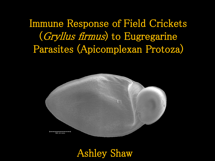Immune Response of Field Crickets (Gryllus firmus) to Eugregarine Parasites (Apicomplexan Protoza)



Ashley Shaw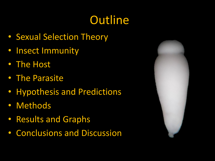## **Outline**

- Sexual Selection Theory
- Insect Immunity
- The Host
- The Parasite
- Hypothesis and Predictions
- Methods
- Results and Graphs
- Conclusions and Discussion

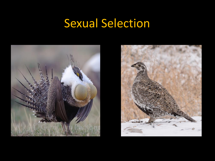# Sexual Selection



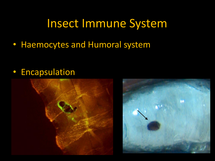### Insect Immune System

• Haemocytes and Humoral system

• Encapsulation



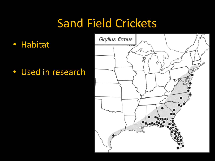## Sand Field Crickets

• Habitat

• Used in research

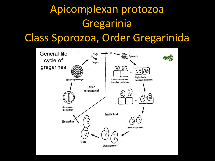## Apicomplexan protozoa Gregarinia Class Sporozoa, Order Gregarinida

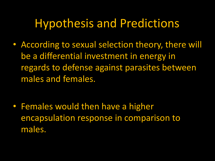### Hypothesis and Predictions

• According to sexual selection theory, there will be a differential investment in energy in regards to defense against parasites between males and females.

• Females would then have a higher encapsulation response in comparison to males.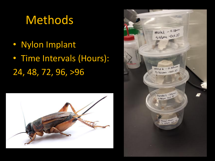## Methods

- Nylon Implant
- Time Intervals (Hours): 24, 48, 72, 96, >96



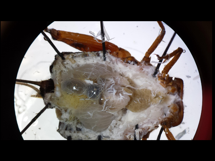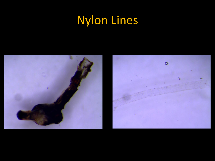# Nylon Lines



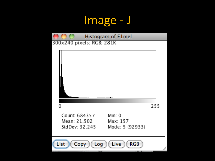### Image - J

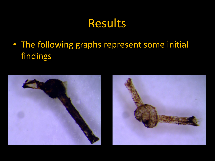### Results

• The following graphs represent some initial findings



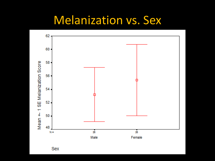Melanization vs. Sex

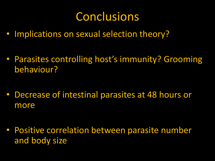### **Conclusions**

- Implications on sexual selection theory?
- Parasites controlling host's immunity? Grooming behaviour?
- Decrease of intestinal parasites at 48 hours or more
- Positive correlation between parasite number and body size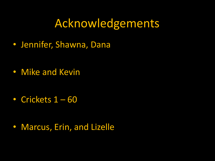### Acknowledgements

• Jennifer, Shawna, Dana

• Mike and Kevin

• Crickets 1 – 60

• Marcus, Erin, and Lizelle